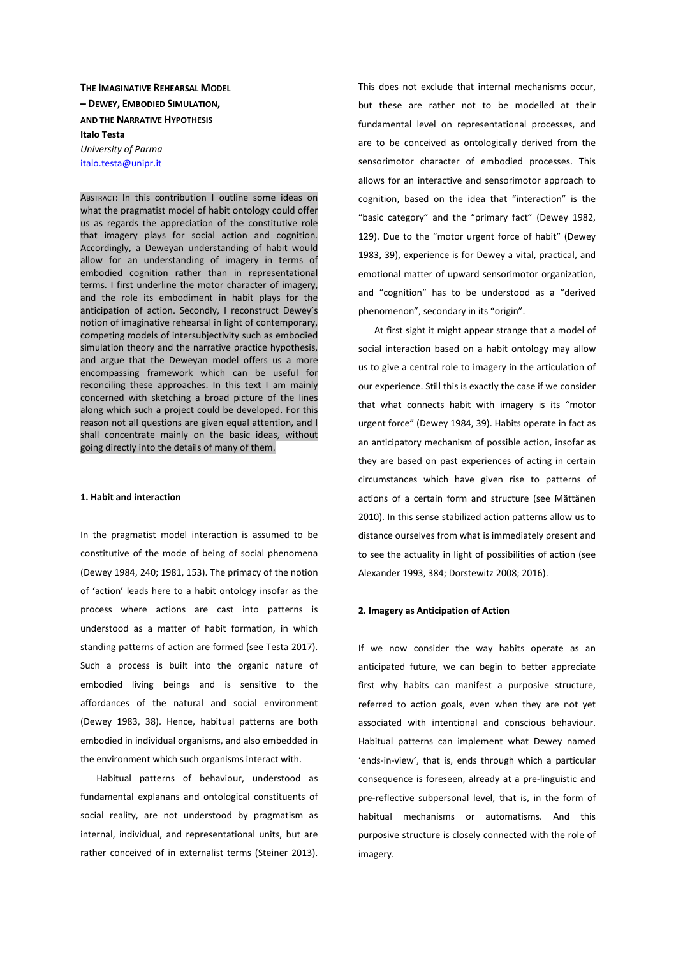**THE IMAGINATIVE REHEARSAL MODEL – DEWEY, EMBODIED SIMULATION, AND THE NARRATIVE HYPOTHESIS Italo Testa**  *University of Parma*  italo.testa@unipr.it

ABSTRACT: In this contribution I outline some ideas on what the pragmatist model of habit ontology could offer us as regards the appreciation of the constitutive role that imagery plays for social action and cognition. Accordingly, a Deweyan understanding of habit would allow for an understanding of imagery in terms of embodied cognition rather than in representational terms. I first underline the motor character of imagery, and the role its embodiment in habit plays for the anticipation of action. Secondly, I reconstruct Dewey's notion of imaginative rehearsal in light of contemporary, competing models of intersubjectivity such as embodied simulation theory and the narrative practice hypothesis, and argue that the Deweyan model offers us a more encompassing framework which can be useful for reconciling these approaches. In this text I am mainly concerned with sketching a broad picture of the lines along which such a project could be developed. For this reason not all questions are given equal attention, and I shall concentrate mainly on the basic ideas, without going directly into the details of many of them.

### **1. Habit and interaction**

In the pragmatist model interaction is assumed to be constitutive of the mode of being of social phenomena (Dewey 1984, 240; 1981, 153). The primacy of the notion of 'action' leads here to a habit ontology insofar as the process where actions are cast into patterns is understood as a matter of habit formation, in which standing patterns of action are formed (see Testa 2017). Such a process is built into the organic nature of embodied living beings and is sensitive to the affordances of the natural and social environment (Dewey 1983, 38). Hence, habitual patterns are both embodied in individual organisms, and also embedded in the environment which such organisms interact with.

Habitual patterns of behaviour, understood as fundamental explanans and ontological constituents of social reality, are not understood by pragmatism as internal, individual, and representational units, but are rather conceived of in externalist terms (Steiner 2013).

This does not exclude that internal mechanisms occur, but these are rather not to be modelled at their fundamental level on representational processes, and are to be conceived as ontologically derived from the sensorimotor character of embodied processes. This allows for an interactive and sensorimotor approach to cognition, based on the idea that "interaction" is the "basic category" and the "primary fact" (Dewey 1982, 129). Due to the "motor urgent force of habit" (Dewey 1983, 39), experience is for Dewey a vital, practical, and emotional matter of upward sensorimotor organization, and "cognition" has to be understood as a "derived phenomenon", secondary in its "origin".

At first sight it might appear strange that a model of social interaction based on a habit ontology may allow us to give a central role to imagery in the articulation of our experience. Still this is exactly the case if we consider that what connects habit with imagery is its "motor urgent force" (Dewey 1984, 39). Habits operate in fact as an anticipatory mechanism of possible action, insofar as they are based on past experiences of acting in certain circumstances which have given rise to patterns of actions of a certain form and structure (see Mättänen 2010). In this sense stabilized action patterns allow us to distance ourselves from what is immediately present and to see the actuality in light of possibilities of action (see Alexander 1993, 384; Dorstewitz 2008; 2016).

#### **2. Imagery as Anticipation of Action**

If we now consider the way habits operate as an anticipated future, we can begin to better appreciate first why habits can manifest a purposive structure, referred to action goals, even when they are not yet associated with intentional and conscious behaviour. Habitual patterns can implement what Dewey named 'ends-in-view', that is, ends through which a particular consequence is foreseen, already at a pre-linguistic and pre-reflective subpersonal level, that is, in the form of habitual mechanisms or automatisms. And this purposive structure is closely connected with the role of imagery.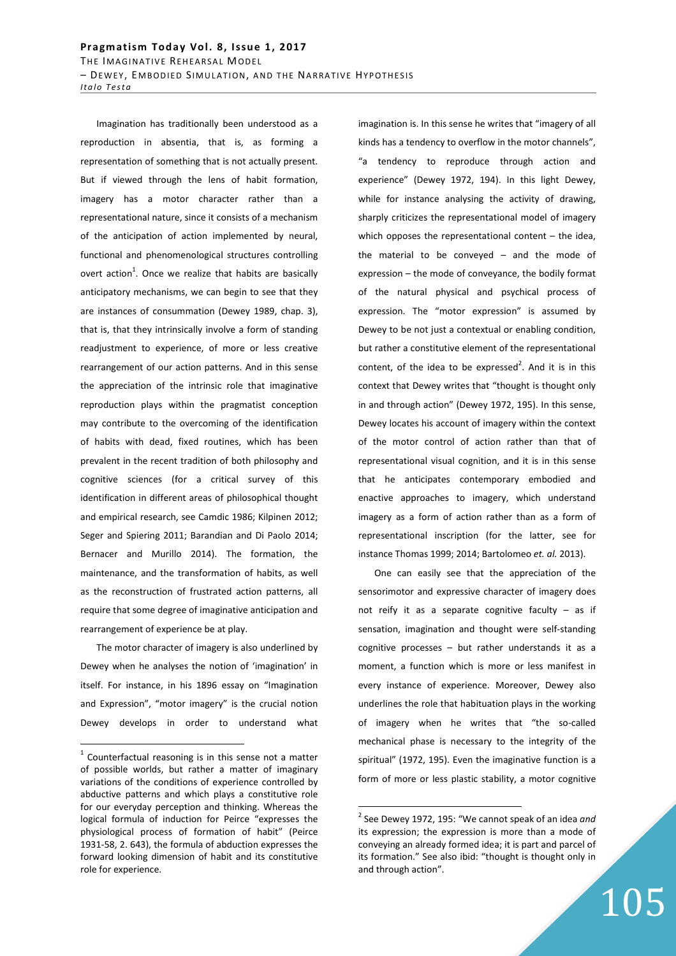Imagination has traditionally been understood as a reproduction in absentia, that is, as forming a representation of something that is not actually present. But if viewed through the lens of habit formation, imagery has a motor character rather than a representational nature, since it consists of a mechanism of the anticipation of action implemented by neural, functional and phenomenological structures controlling overt action<sup>1</sup>. Once we realize that habits are basically anticipatory mechanisms, we can begin to see that they are instances of consummation (Dewey 1989, chap. 3), that is, that they intrinsically involve a form of standing readjustment to experience, of more or less creative rearrangement of our action patterns. And in this sense the appreciation of the intrinsic role that imaginative reproduction plays within the pragmatist conception may contribute to the overcoming of the identification of habits with dead, fixed routines, which has been prevalent in the recent tradition of both philosophy and cognitive sciences (for a critical survey of this identification in different areas of philosophical thought and empirical research, see Camdic 1986; Kilpinen 2012; Seger and Spiering 2011; Barandian and Di Paolo 2014; Bernacer and Murillo 2014). The formation, the maintenance, and the transformation of habits, as well as the reconstruction of frustrated action patterns, all require that some degree of imaginative anticipation and rearrangement of experience be at play.

The motor character of imagery is also underlined by Dewey when he analyses the notion of 'imagination' in itself. For instance, in his 1896 essay on "Imagination and Expression", "motor imagery" is the crucial notion Dewey develops in order to understand what

 $\overline{a}$ 

imagination is. In this sense he writes that "imagery of all kinds has a tendency to overflow in the motor channels", "a tendency to reproduce through action and experience" (Dewey 1972, 194). In this light Dewey, while for instance analysing the activity of drawing, sharply criticizes the representational model of imagery which opposes the representational content  $-$  the idea. the material to be conveyed – and the mode of expression – the mode of conveyance, the bodily format of the natural physical and psychical process of expression. The "motor expression" is assumed by Dewey to be not just a contextual or enabling condition, but rather a constitutive element of the representational content, of the idea to be expressed<sup>2</sup>. And it is in this context that Dewey writes that "thought is thought only in and through action" (Dewey 1972, 195). In this sense, Dewey locates his account of imagery within the context of the motor control of action rather than that of representational visual cognition, and it is in this sense that he anticipates contemporary embodied and enactive approaches to imagery, which understand imagery as a form of action rather than as a form of representational inscription (for the latter, see for instance Thomas 1999; 2014; Bartolomeo *et. al.* 2013).

One can easily see that the appreciation of the sensorimotor and expressive character of imagery does not reify it as a separate cognitive faculty  $-$  as if sensation, imagination and thought were self-standing cognitive processes – but rather understands it as a moment, a function which is more or less manifest in every instance of experience. Moreover, Dewey also underlines the role that habituation plays in the working of imagery when he writes that "the so-called mechanical phase is necessary to the integrity of the spiritual" (1972, 195). Even the imaginative function is a form of more or less plastic stability, a motor cognitive

 $1$  Counterfactual reasoning is in this sense not a matter of possible worlds, but rather a matter of imaginary variations of the conditions of experience controlled by abductive patterns and which plays a constitutive role for our everyday perception and thinking. Whereas the logical formula of induction for Peirce "expresses the physiological process of formation of habit" (Peirce 1931-58, 2. 643), the formula of abduction expresses the forward looking dimension of habit and its constitutive role for experience.

<sup>2</sup> See Dewey 1972, 195: "We cannot speak of an idea *and* its expression; the expression is more than a mode of conveying an already formed idea; it is part and parcel of its formation." See also ibid: "thought is thought only in and through action".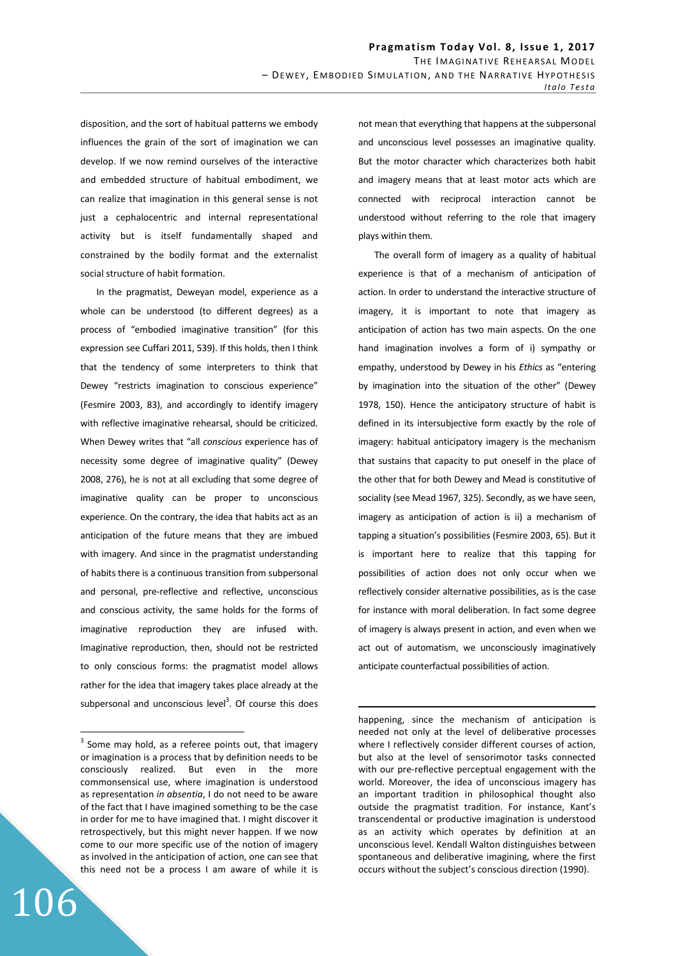disposition, and the sort of habitual patterns we embody influences the grain of the sort of imagination we can develop. If we now remind ourselves of the interactive and embedded structure of habitual embodiment, we can realize that imagination in this general sense is not just a cephalocentric and internal representational activity but is itself fundamentally shaped and constrained by the bodily format and the externalist social structure of habit formation.

In the pragmatist, Deweyan model, experience as a whole can be understood (to different degrees) as a process of "embodied imaginative transition" (for this expression see Cuffari 2011, 539). If this holds, then I think that the tendency of some interpreters to think that Dewey "restricts imagination to conscious experience" (Fesmire 2003, 83), and accordingly to identify imagery with reflective imaginative rehearsal, should be criticized. When Dewey writes that "all *conscious* experience has of necessity some degree of imaginative quality" (Dewey 2008, 276), he is not at all excluding that some degree of imaginative quality can be proper to unconscious experience. On the contrary, the idea that habits act as an anticipation of the future means that they are imbued with imagery. And since in the pragmatist understanding of habits there is a continuous transition from subpersonal and personal, pre-reflective and reflective, unconscious and conscious activity, the same holds for the forms of imaginative reproduction they are infused with. Imaginative reproduction, then, should not be restricted to only conscious forms: the pragmatist model allows rather for the idea that imagery takes place already at the subpersonal and unconscious level<sup>3</sup>. Of course this does

106

 $\overline{a}$ 

not mean that everything that happens at the subpersonal and unconscious level possesses an imaginative quality. But the motor character which characterizes both habit and imagery means that at least motor acts which are connected with reciprocal interaction cannot be understood without referring to the role that imagery plays within them.

The overall form of imagery as a quality of habitual experience is that of a mechanism of anticipation of action. In order to understand the interactive structure of imagery, it is important to note that imagery as anticipation of action has two main aspects. On the one hand imagination involves a form of i) sympathy or empathy, understood by Dewey in his *Ethics* as "entering by imagination into the situation of the other" (Dewey 1978, 150). Hence the anticipatory structure of habit is defined in its intersubjective form exactly by the role of imagery: habitual anticipatory imagery is the mechanism that sustains that capacity to put oneself in the place of the other that for both Dewey and Mead is constitutive of sociality (see Mead 1967, 325). Secondly, as we have seen, imagery as anticipation of action is ii) a mechanism of tapping a situation's possibilities (Fesmire 2003, 65). But it is important here to realize that this tapping for possibilities of action does not only occur when we reflectively consider alternative possibilities, as is the case for instance with moral deliberation. In fact some degree of imagery is always present in action, and even when we act out of automatism, we unconsciously imaginatively anticipate counterfactual possibilities of action.

 $3$  Some may hold, as a referee points out, that imagery or imagination is a process that by definition needs to be consciously realized. But even in the more commonsensical use, where imagination is understood as representation *in absentia*, I do not need to be aware of the fact that I have imagined something to be the case in order for me to have imagined that. I might discover it retrospectively, but this might never happen. If we now come to our more specific use of the notion of imagery as involved in the anticipation of action, one can see that this need not be a process I am aware of while it is

happening, since the mechanism of anticipation is needed not only at the level of deliberative processes where I reflectively consider different courses of action, but also at the level of sensorimotor tasks connected with our pre-reflective perceptual engagement with the world. Moreover, the idea of unconscious imagery has an important tradition in philosophical thought also outside the pragmatist tradition. For instance, Kant's transcendental or productive imagination is understood as an activity which operates by definition at an unconscious level. Kendall Walton distinguishes between spontaneous and deliberative imagining, where the first occurs without the subject's conscious direction (1990).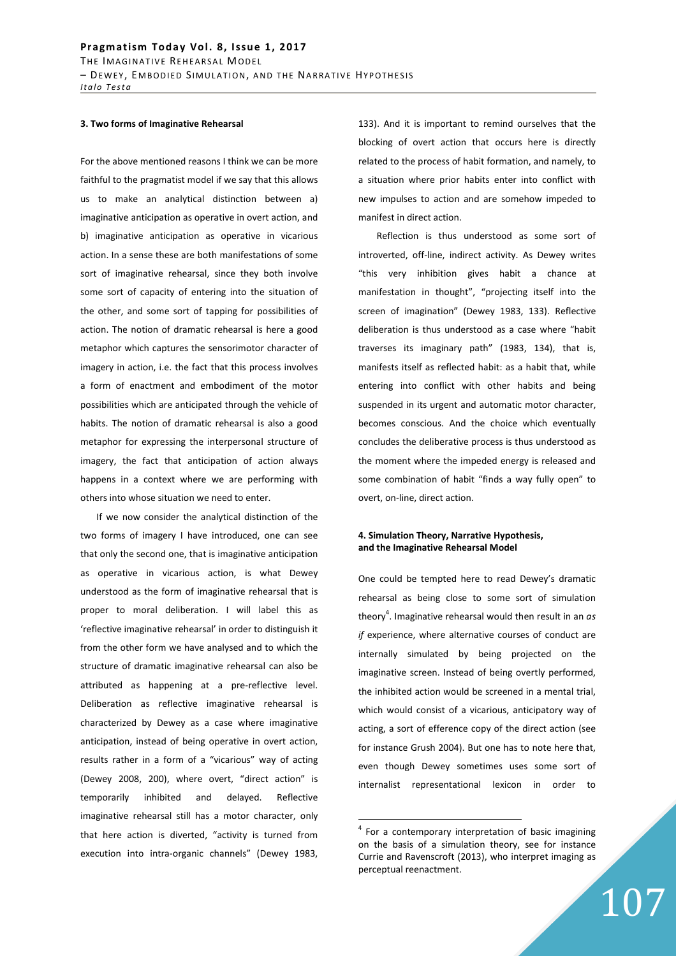### **3. Two forms of Imaginative Rehearsal**

For the above mentioned reasons I think we can be more faithful to the pragmatist model if we say that this allows us to make an analytical distinction between a) imaginative anticipation as operative in overt action, and b) imaginative anticipation as operative in vicarious action. In a sense these are both manifestations of some sort of imaginative rehearsal, since they both involve some sort of capacity of entering into the situation of the other, and some sort of tapping for possibilities of action. The notion of dramatic rehearsal is here a good metaphor which captures the sensorimotor character of imagery in action, i.e. the fact that this process involves a form of enactment and embodiment of the motor possibilities which are anticipated through the vehicle of habits. The notion of dramatic rehearsal is also a good metaphor for expressing the interpersonal structure of imagery, the fact that anticipation of action always happens in a context where we are performing with others into whose situation we need to enter.

If we now consider the analytical distinction of the two forms of imagery I have introduced, one can see that only the second one, that is imaginative anticipation as operative in vicarious action, is what Dewey understood as the form of imaginative rehearsal that is proper to moral deliberation. I will label this as 'reflective imaginative rehearsal' in order to distinguish it from the other form we have analysed and to which the structure of dramatic imaginative rehearsal can also be attributed as happening at a pre-reflective level. Deliberation as reflective imaginative rehearsal is characterized by Dewey as a case where imaginative anticipation, instead of being operative in overt action, results rather in a form of a "vicarious" way of acting (Dewey 2008, 200), where overt, "direct action" is temporarily inhibited and delayed. Reflective imaginative rehearsal still has a motor character, only that here action is diverted, "activity is turned from execution into intra-organic channels" (Dewey 1983, 133). And it is important to remind ourselves that the blocking of overt action that occurs here is directly related to the process of habit formation, and namely, to a situation where prior habits enter into conflict with new impulses to action and are somehow impeded to manifest in direct action.

 Reflection is thus understood as some sort of introverted, off-line, indirect activity. As Dewey writes "this very inhibition gives habit a chance at manifestation in thought", "projecting itself into the screen of imagination" (Dewey 1983, 133). Reflective deliberation is thus understood as a case where "habit traverses its imaginary path" (1983, 134), that is, manifests itself as reflected habit: as a habit that, while entering into conflict with other habits and being suspended in its urgent and automatic motor character, becomes conscious. And the choice which eventually concludes the deliberative process is thus understood as the moment where the impeded energy is released and some combination of habit "finds a way fully open" to overt, on-line, direct action.

## **4. Simulation Theory, Narrative Hypothesis, and the Imaginative Rehearsal Model**

One could be tempted here to read Dewey's dramatic rehearsal as being close to some sort of simulation theory<sup>4</sup>. Imaginative rehearsal would then result in an *as if* experience, where alternative courses of conduct are internally simulated by being projected on the imaginative screen. Instead of being overtly performed, the inhibited action would be screened in a mental trial, which would consist of a vicarious, anticipatory way of acting, a sort of efference copy of the direct action (see for instance Grush 2004). But one has to note here that, even though Dewey sometimes uses some sort of internalist representational lexicon in order to

<sup>&</sup>lt;sup>4</sup> For a contemporary interpretation of basic imagining on the basis of a simulation theory, see for instance Currie and Ravenscroft (2013), who interpret imaging as perceptual reenactment.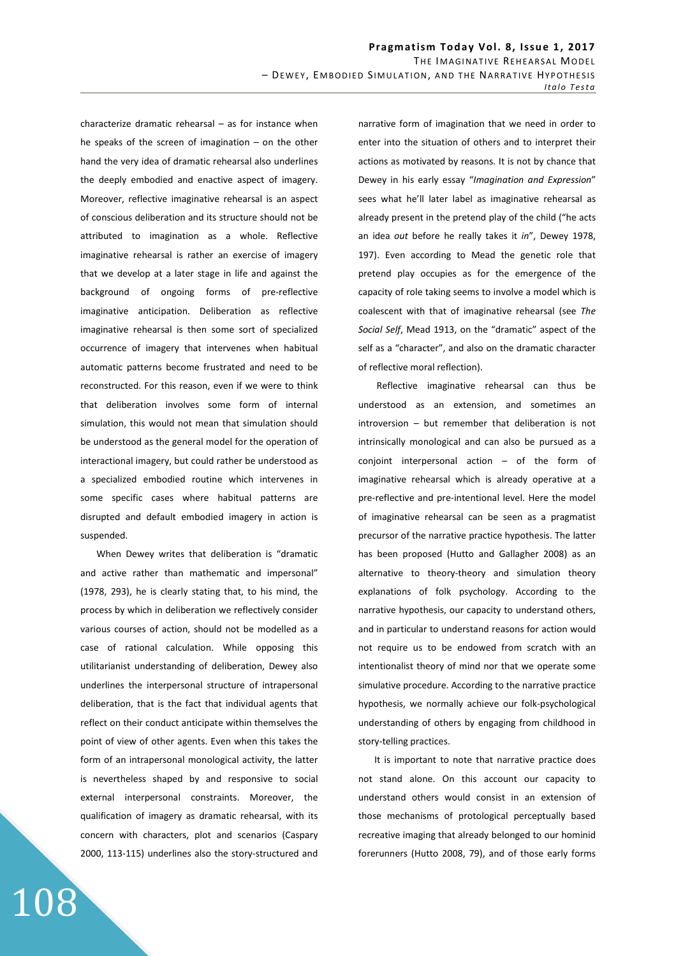characterize dramatic rehearsal – as for instance when he speaks of the screen of imagination – on the other hand the very idea of dramatic rehearsal also underlines the deeply embodied and enactive aspect of imagery. Moreover, reflective imaginative rehearsal is an aspect of conscious deliberation and its structure should not be attributed to imagination as a whole. Reflective imaginative rehearsal is rather an exercise of imagery that we develop at a later stage in life and against the background of ongoing forms of pre-reflective imaginative anticipation. Deliberation as reflective imaginative rehearsal is then some sort of specialized occurrence of imagery that intervenes when habitual automatic patterns become frustrated and need to be reconstructed. For this reason, even if we were to think that deliberation involves some form of internal simulation, this would not mean that simulation should be understood as the general model for the operation of interactional imagery, but could rather be understood as a specialized embodied routine which intervenes in some specific cases where habitual patterns are disrupted and default embodied imagery in action is suspended.

When Dewey writes that deliberation is "dramatic and active rather than mathematic and impersonal" (1978, 293), he is clearly stating that, to his mind, the process by which in deliberation we reflectively consider various courses of action, should not be modelled as a case of rational calculation. While opposing this utilitarianist understanding of deliberation, Dewey also underlines the interpersonal structure of intrapersonal deliberation, that is the fact that individual agents that reflect on their conduct anticipate within themselves the point of view of other agents. Even when this takes the form of an intrapersonal monological activity, the latter is nevertheless shaped by and responsive to social external interpersonal constraints. Moreover, the qualification of imagery as dramatic rehearsal, with its concern with characters, plot and scenarios (Caspary 2000, 113-115) underlines also the story-structured and

108

narrative form of imagination that we need in order to enter into the situation of others and to interpret their actions as motivated by reasons. It is not by chance that Dewey in his early essay "*Imagination and Expression*" sees what he'll later label as imaginative rehearsal as already present in the pretend play of the child ("he acts an idea *out* before he really takes it *in*", Dewey 1978, 197). Even according to Mead the genetic role that pretend play occupies as for the emergence of the capacity of role taking seems to involve a model which is coalescent with that of imaginative rehearsal (see *The Social Self*, Mead 1913, on the "dramatic" aspect of the self as a "character", and also on the dramatic character of reflective moral reflection).

 Reflective imaginative rehearsal can thus be understood as an extension, and sometimes an introversion – but remember that deliberation is not intrinsically monological and can also be pursued as a conjoint interpersonal action – of the form of imaginative rehearsal which is already operative at a pre-reflective and pre-intentional level. Here the model of imaginative rehearsal can be seen as a pragmatist precursor of the narrative practice hypothesis. The latter has been proposed (Hutto and Gallagher 2008) as an alternative to theory-theory and simulation theory explanations of folk psychology. According to the narrative hypothesis, our capacity to understand others, and in particular to understand reasons for action would not require us to be endowed from scratch with an intentionalist theory of mind nor that we operate some simulative procedure. According to the narrative practice hypothesis, we normally achieve our folk-psychological understanding of others by engaging from childhood in story-telling practices.

It is important to note that narrative practice does not stand alone. On this account our capacity to understand others would consist in an extension of those mechanisms of protological perceptually based recreative imaging that already belonged to our hominid forerunners (Hutto 2008, 79), and of those early forms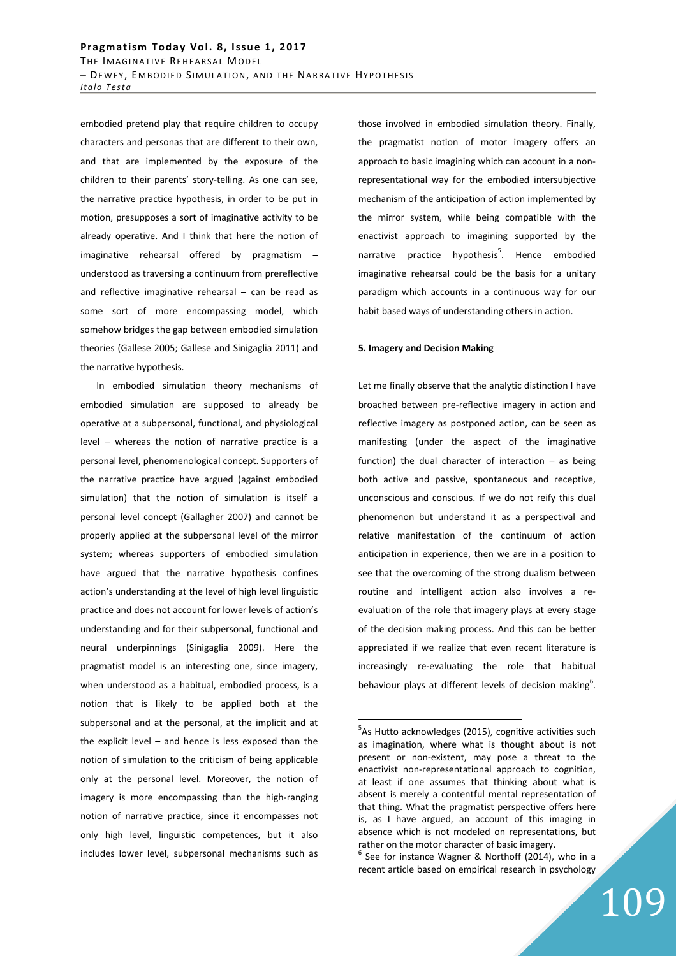embodied pretend play that require children to occupy characters and personas that are different to their own, and that are implemented by the exposure of the children to their parents' story-telling. As one can see, the narrative practice hypothesis, in order to be put in motion, presupposes a sort of imaginative activity to be already operative. And I think that here the notion of imaginative rehearsal offered by pragmatism – understood as traversing a continuum from prereflective and reflective imaginative rehearsal – can be read as some sort of more encompassing model, which somehow bridges the gap between embodied simulation theories (Gallese 2005; Gallese and Sinigaglia 2011) and the narrative hypothesis.

In embodied simulation theory mechanisms of embodied simulation are supposed to already be operative at a subpersonal, functional, and physiological level – whereas the notion of narrative practice is a personal level, phenomenological concept. Supporters of the narrative practice have argued (against embodied simulation) that the notion of simulation is itself a personal level concept (Gallagher 2007) and cannot be properly applied at the subpersonal level of the mirror system; whereas supporters of embodied simulation have argued that the narrative hypothesis confines action's understanding at the level of high level linguistic practice and does not account for lower levels of action's understanding and for their subpersonal, functional and neural underpinnings (Sinigaglia 2009). Here the pragmatist model is an interesting one, since imagery, when understood as a habitual, embodied process, is a notion that is likely to be applied both at the subpersonal and at the personal, at the implicit and at the explicit level – and hence is less exposed than the notion of simulation to the criticism of being applicable only at the personal level. Moreover, the notion of imagery is more encompassing than the high-ranging notion of narrative practice, since it encompasses not only high level, linguistic competences, but it also includes lower level, subpersonal mechanisms such as those involved in embodied simulation theory. Finally, the pragmatist notion of motor imagery offers an approach to basic imagining which can account in a nonrepresentational way for the embodied intersubjective mechanism of the anticipation of action implemented by the mirror system, while being compatible with the enactivist approach to imagining supported by the narrative practice hypothesis<sup>5</sup>. Hence embodied imaginative rehearsal could be the basis for a unitary paradigm which accounts in a continuous way for our habit based ways of understanding others in action.

### **5. Imagery and Decision Making**

Let me finally observe that the analytic distinction I have broached between pre-reflective imagery in action and reflective imagery as postponed action, can be seen as manifesting (under the aspect of the imaginative function) the dual character of interaction  $-$  as being both active and passive, spontaneous and receptive, unconscious and conscious. If we do not reify this dual phenomenon but understand it as a perspectival and relative manifestation of the continuum of action anticipation in experience, then we are in a position to see that the overcoming of the strong dualism between routine and intelligent action also involves a reevaluation of the role that imagery plays at every stage of the decision making process. And this can be better appreciated if we realize that even recent literature is increasingly re-evaluating the role that habitual behaviour plays at different levels of decision making $^{6}$ .

<sup>&</sup>lt;sup>5</sup>As Hutto acknowledges (2015), cognitive activities such as imagination, where what is thought about is not present or non-existent, may pose a threat to the enactivist non-representational approach to cognition, at least if one assumes that thinking about what is absent is merely a contentful mental representation of that thing. What the pragmatist perspective offers here is, as I have argued, an account of this imaging in absence which is not modeled on representations, but rather on the motor character of basic imagery.

 $6$  See for instance Wagner & Northoff (2014), who in a recent article based on empirical research in psychology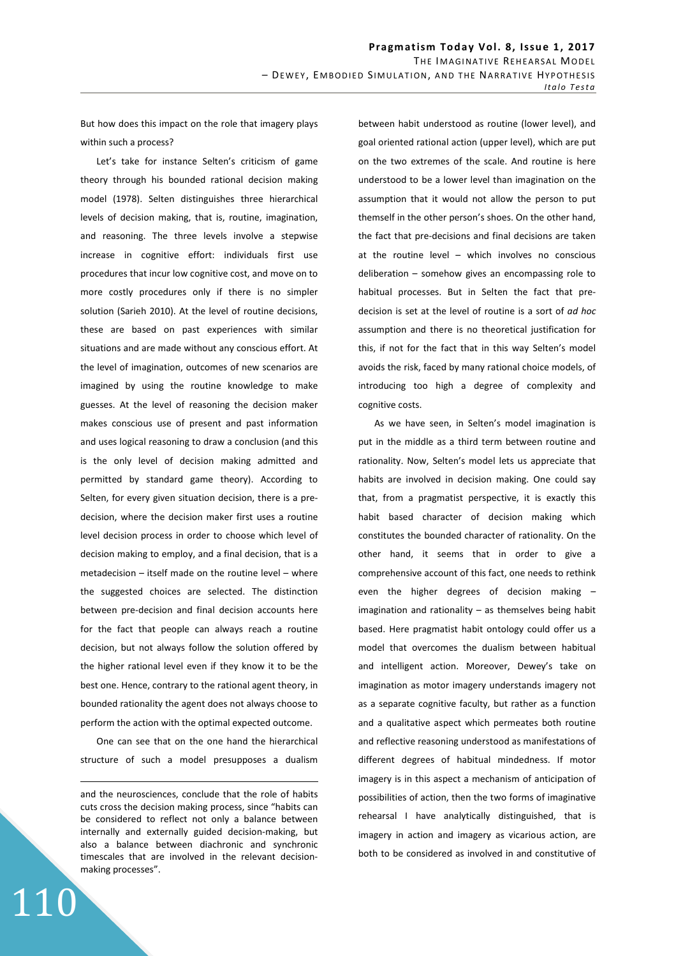But how does this impact on the role that imagery plays within such a process?

Let's take for instance Selten's criticism of game theory through his bounded rational decision making model (1978). Selten distinguishes three hierarchical levels of decision making, that is, routine, imagination, and reasoning. The three levels involve a stepwise increase in cognitive effort: individuals first use procedures that incur low cognitive cost, and move on to more costly procedures only if there is no simpler solution (Sarieh 2010). At the level of routine decisions, these are based on past experiences with similar situations and are made without any conscious effort. At the level of imagination, outcomes of new scenarios are imagined by using the routine knowledge to make guesses. At the level of reasoning the decision maker makes conscious use of present and past information and uses logical reasoning to draw a conclusion (and this is the only level of decision making admitted and permitted by standard game theory). According to Selten, for every given situation decision, there is a predecision, where the decision maker first uses a routine level decision process in order to choose which level of decision making to employ, and a final decision, that is a metadecision – itself made on the routine level – where the suggested choices are selected. The distinction between pre-decision and final decision accounts here for the fact that people can always reach a routine decision, but not always follow the solution offered by the higher rational level even if they know it to be the best one. Hence, contrary to the rational agent theory, in bounded rationality the agent does not always choose to perform the action with the optimal expected outcome.

One can see that on the one hand the hierarchical structure of such a model presupposes a dualism

and the neurosciences, conclude that the role of habits cuts cross the decision making process, since "habits can be considered to reflect not only a balance between internally and externally guided decision-making, but also a balance between diachronic and synchronic timescales that are involved in the relevant decisionmaking processes".

110

<u>.</u>

between habit understood as routine (lower level), and goal oriented rational action (upper level), which are put on the two extremes of the scale. And routine is here understood to be a lower level than imagination on the assumption that it would not allow the person to put themself in the other person's shoes. On the other hand, the fact that pre-decisions and final decisions are taken at the routine level – which involves no conscious deliberation – somehow gives an encompassing role to habitual processes. But in Selten the fact that predecision is set at the level of routine is a sort of *ad hoc*  assumption and there is no theoretical justification for this, if not for the fact that in this way Selten's model avoids the risk, faced by many rational choice models, of introducing too high a degree of complexity and cognitive costs.

As we have seen, in Selten's model imagination is put in the middle as a third term between routine and rationality. Now, Selten's model lets us appreciate that habits are involved in decision making. One could say that, from a pragmatist perspective, it is exactly this habit based character of decision making which constitutes the bounded character of rationality. On the other hand, it seems that in order to give a comprehensive account of this fact, one needs to rethink even the higher degrees of decision making – imagination and rationality – as themselves being habit based. Here pragmatist habit ontology could offer us a model that overcomes the dualism between habitual and intelligent action. Moreover, Dewey's take on imagination as motor imagery understands imagery not as a separate cognitive faculty, but rather as a function and a qualitative aspect which permeates both routine and reflective reasoning understood as manifestations of different degrees of habitual mindedness. If motor imagery is in this aspect a mechanism of anticipation of possibilities of action, then the two forms of imaginative rehearsal I have analytically distinguished, that is imagery in action and imagery as vicarious action, are both to be considered as involved in and constitutive of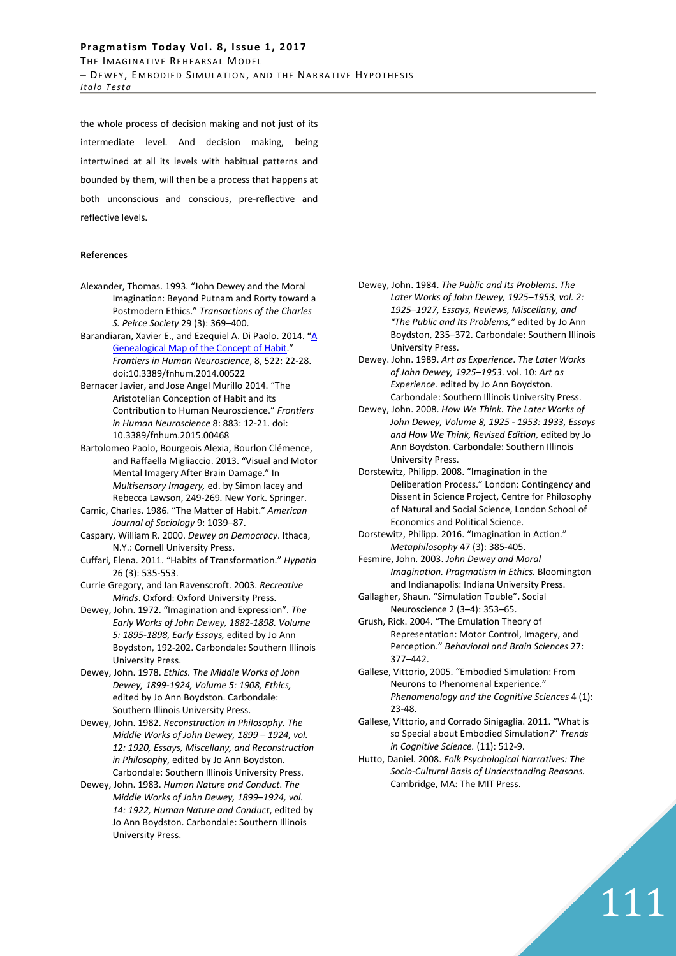the whole process of decision making and not just of its intermediate level. And decision making, being intertwined at all its levels with habitual patterns and bounded by them, will then be a process that happens at both unconscious and conscious, pre-reflective and reflective levels.

### **References**

- Alexander, Thomas. 1993. "John Dewey and the Moral Imagination: Beyond Putnam and Rorty toward a Postmodern Ethics." *Transactions of the Charles S. Peirce Society* 29 (3): 369–400.
- Barandiaran, Xavier E., and Ezequiel A. Di Paolo. 2014. "A Genealogical Map of the Concept of Habit." *Frontiers in Human Neuroscience*, 8, 522: 22-28. doi:10.3389/fnhum.2014.00522
- Bernacer Javier, and Jose Angel Murillo 2014. "The Aristotelian Conception of Habit and its Contribution to Human Neuroscience." *Frontiers in Human Neuroscience* 8: 883: 12-21. doi: 10.3389/fnhum.2015.00468
- Bartolomeo Paolo, Bourgeois Alexia, Bourlon Clémence, and Raffaella Migliaccio. 2013. "Visual and Motor Mental Imagery After Brain Damage." In *Multisensory Imagery,* ed. by Simon lacey and Rebecca Lawson, 249-269*.* New York. Springer.
- Camic, Charles. 1986. "The Matter of Habit." *American Journal of Sociology* 9: 1039–87.
- Caspary, William R. 2000. *Dewey on Democracy*. Ithaca, N.Y.: Cornell University Press.
- Cuffari, Elena. 2011. "Habits of Transformation." *Hypatia* 26 (3): 535-553.
- Currie Gregory, and Ian Ravenscroft. 2003. *Recreative Minds*. Oxford: Oxford University Press.
- Dewey, John. 1972. "Imagination and Expression". *The Early Works of John Dewey, 1882-1898. Volume 5: 1895-1898, Early Essays,* edited by Jo Ann Boydston, 192-202. Carbondale: Southern Illinois University Press.
- Dewey, John. 1978. *Ethics. The Middle Works of John Dewey, 1899-1924, Volume 5: 1908, Ethics,* edited by Jo Ann Boydston. Carbondale: Southern Illinois University Press.
- Dewey, John. 1982. *Reconstruction in Philosophy. The Middle Works of John Dewey, 1899 – 1924, vol. 12: 1920, Essays, Miscellany, and Reconstruction in Philosophy,* edited by Jo Ann Boydston. Carbondale: Southern Illinois University Press.
- Dewey, John. 1983. *Human Nature and Conduct*. *The Middle Works of John Dewey, 1899–1924, vol. 14: 1922, Human Nature and Conduct*, edited by Jo Ann Boydston. Carbondale: Southern Illinois University Press.
- Dewey, John. 1984. *The Public and Its Problems*. *The Later Works of John Dewey, 1925–1953, vol. 2: 1925–1927, Essays, Reviews, Miscellany, and "The Public and Its Problems,"* edited by Jo Ann Boydston, 235–372. Carbondale: Southern Illinois University Press.
- Dewey. John. 1989. *Art as Experience*. *The Later Works of John Dewey, 1925–1953*. vol. 10: *Art as Experience.* edited by Jo Ann Boydston. Carbondale: Southern Illinois University Press.
- Dewey, John. 2008. *How We Think. The Later Works of John Dewey, Volume 8, 1925 - 1953: 1933, Essays and How We Think, Revised Edition,* edited by Jo Ann Boydston. Carbondale: Southern Illinois University Press.
- Dorstewitz, Philipp. 2008. "Imagination in the Deliberation Process." London: Contingency and Dissent in Science Project, Centre for Philosophy of Natural and Social Science, London School of Economics and Political Science.
- Dorstewitz, Philipp. 2016. "Imagination in Action." *Metaphilosophy* 47 (3): 385-405.
- Fesmire, John. 2003. *John Dewey and Moral Imagination. Pragmatism in Ethics.* Bloomington and Indianapolis: Indiana University Press.
- Gallagher, Shaun. "Simulation Touble"**.** Social Neuroscience 2 (3–4): 353–65.
- Grush, Rick. 2004. "The Emulation Theory of Representation: Motor Control, Imagery, and Perception." *Behavioral and Brain Sciences* 27: 377–442.
- Gallese, Vittorio, 2005. "Embodied Simulation: From Neurons to Phenomenal Experience." *Phenomenology and the Cognitive Sciences* 4 (1): 23-48.
- Gallese, Vittorio, and Corrado Sinigaglia. 2011. "What is so Special about Embodied Simulation*?*" *Trends in Cognitive Science.* (11): 512-9.
- Hutto, Daniel. 2008. *Folk Psychological Narratives: The Socio-Cultural Basis of Understanding Reasons.* Cambridge, MA: The MIT Press.

111